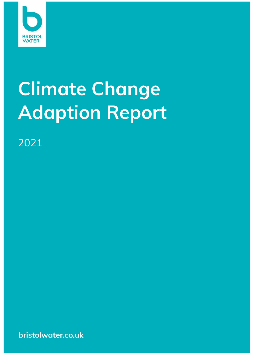

# **Climate Change Adaption Report**

2021

bristolwater.co.uk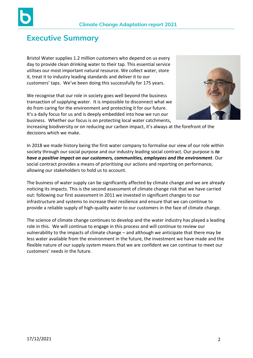



# **Executive Summary**

Bristol Water supplies 1.2 million customers who depend on us every day to provide clean drinking water to their tap. This essential service utilises our most important natural resource. We collect water, store it, treat it to industry leading standards and deliver it to our customers' taps. We've been doing this successfully for 175 years.

We recognise that our role in society goes well beyond the business transaction of supplying water. It is impossible to disconnect what we do from caring for the environment and protecting it for our future. It's a daily focus for us and is deeply embedded into how we run our business. Whether our focus is on protecting local water catchments,



increasing biodiversity or on reducing our carbon impact, it's always at the forefront of the decisions which we make.

In 2018 we made history being the first water company to formalise our view of our role within society through our social purpose and our industry leading social contract. Our purpose is *to have a positive impact on our customers, communities, employees and the environment*. Our social contract provides a means of prioritising our actions and reporting on performance, allowing our stakeholders to hold us to account.

The business of water supply can be significantly affected by climate change and we are already noticing its impacts. This is the second assessment of climate change risk that we have carried out: following our first assessment in 2011 we invested in significant changes to our infrastructure and systems to increase their resilience and ensure that we can continue to provide a reliable supply of high-quality water to our customers in the face of climate change.

The science of climate change continues to develop and the water industry has played a leading role in this. We will continue to engage in this process and will continue to review our vulnerability to the impacts of climate change – and although we anticipate that there may be less water available from the environment in the future, the investment we have made and the flexible nature of our supply system means that we are confident we can continue to meet our customers' needs in the future.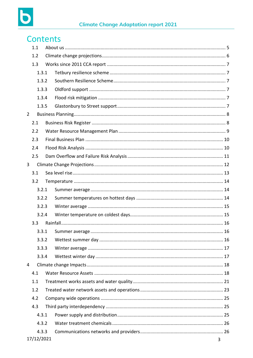

|                |     | <b>Contents</b> |  |  |  |  |  |  |
|----------------|-----|-----------------|--|--|--|--|--|--|
|                | 1.1 |                 |  |  |  |  |  |  |
|                | 1.2 |                 |  |  |  |  |  |  |
|                | 1.3 |                 |  |  |  |  |  |  |
|                |     | 1.3.1           |  |  |  |  |  |  |
|                |     | 1.3.2           |  |  |  |  |  |  |
|                |     | 1.3.3           |  |  |  |  |  |  |
|                |     | 1.3.4           |  |  |  |  |  |  |
|                |     | 1.3.5           |  |  |  |  |  |  |
| $\overline{2}$ |     |                 |  |  |  |  |  |  |
|                | 2.1 |                 |  |  |  |  |  |  |
|                | 2.2 |                 |  |  |  |  |  |  |
|                | 2.3 |                 |  |  |  |  |  |  |
|                | 2.4 |                 |  |  |  |  |  |  |
|                | 2.5 |                 |  |  |  |  |  |  |
| 3              |     |                 |  |  |  |  |  |  |
|                | 3.1 |                 |  |  |  |  |  |  |
|                | 3.2 |                 |  |  |  |  |  |  |
|                |     | 3.2.1           |  |  |  |  |  |  |
|                |     | 3.2.2           |  |  |  |  |  |  |
|                |     | 3.2.3           |  |  |  |  |  |  |
|                |     | 3.2.4           |  |  |  |  |  |  |
|                | 3.3 |                 |  |  |  |  |  |  |
|                |     | 3.3.1           |  |  |  |  |  |  |
|                |     | 3.3.2           |  |  |  |  |  |  |
|                |     | 3.3.3           |  |  |  |  |  |  |
|                |     | 3.3.4           |  |  |  |  |  |  |
| 4              |     |                 |  |  |  |  |  |  |
|                | 4.1 |                 |  |  |  |  |  |  |
|                | 1.1 |                 |  |  |  |  |  |  |
|                | 1.2 |                 |  |  |  |  |  |  |
|                | 4.2 |                 |  |  |  |  |  |  |
|                | 4.3 |                 |  |  |  |  |  |  |
|                |     | 4.3.1           |  |  |  |  |  |  |
|                |     | 4.3.2           |  |  |  |  |  |  |
|                |     | 4.3.3           |  |  |  |  |  |  |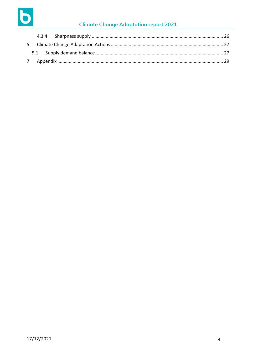

# **Climate Change Adaptation report 2021**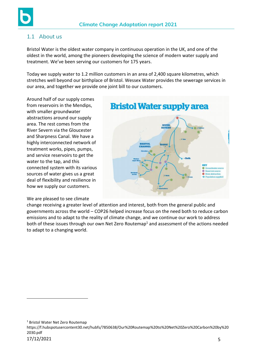

## <span id="page-4-0"></span>1.1 About us

Bristol Water is the oldest water company in continuous operation in the UK, and one of the oldest in the world, among the pioneers developing the science of modern water supply and treatment. We've been serving our customers for 175 years.

Today we supply water to 1.2 million customers in an area of 2,400 square kilometres, which stretches well beyond our birthplace of Bristol. Wessex Water provides the sewerage services in our area, and together we provide one joint bill to our customers.

Around half of our supply comes from reservoirs in the Mendips, with smaller groundwater abstractions around our supply area. The rest comes from the River Severn via the Gloucester and Sharpness Canal. We have a highly interconnected network of treatment works, pipes, pumps, and service reservoirs to get the water to the tap, and this connected system with its various sources of water gives us a great deal of flexibility and resilience in how we supply our customers.

#### We are pleased to see climate



change receiving a greater level of attention and interest, both from the general public and governments across the world – COP26 helped increase focus on the need both to reduce carbon emissions and to adapt to the reality of climate change, and we continue our work to address both of these issues through our own Net Zero Routemap<sup>1</sup> and assessment of the actions needed to adapt to a changing world.

<sup>1</sup> Bristol Water Net Zero Routemap

https://f.hubspotusercontent30.net/hubfs/7850638/Our%20Routemap%20to%20Net%20Zero%20Carbon%20by%20 2030.pdf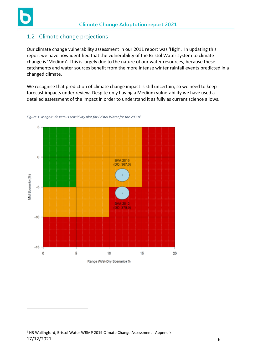

## <span id="page-5-0"></span>1.2 Climate change projections

Our climate change vulnerability assessment in our 2011 report was 'High'. In updating this report we have now identified that the vulnerability of the Bristol Water system to climate change is 'Medium'. This is largely due to the nature of our water resources, because these catchments and water sources benefit from the more intense winter rainfall events predicted in a changed climate.

We recognise that prediction of climate change impact is still uncertain, so we need to keep forecast impacts under review. Despite only having a Medium vulnerability we have used a detailed assessment of the impact in order to understand it as fully as current science allows.



*Figure 1: Magnitude versus sensitivity plot for Bristol Water for the 2030s<sup>2</sup>*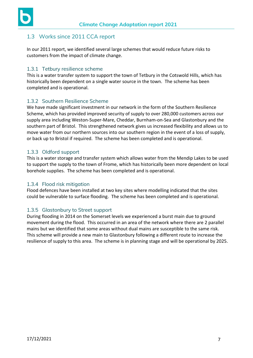

## <span id="page-6-0"></span>1.3 Works since 2011 CCA report

In our 2011 report, we identified several large schemes that would reduce future risks to customers from the impact of climate change.

#### <span id="page-6-1"></span>1.3.1 Tetbury resilience scheme

This is a water transfer system to support the town of Tetbury in the Cotswold Hills, which has historically been dependent on a single water source in the town. The scheme has been completed and is operational.

#### <span id="page-6-2"></span>1.3.2 Southern Resilience Scheme

We have made significant investment in our network in the form of the Southern Resilience Scheme, which has provided improved security of supply to over 280,000 customers across our supply area including Weston-Super-Mare, Cheddar, Burnham-on-Sea and Glastonbury and the southern part of Bristol. This strengthened network gives us increased flexibility and allows us to move water from our northern sources into our southern region in the event of a loss of supply, or back up to Bristol if required. The scheme has been completed and is operational.

#### <span id="page-6-3"></span>1.3.3 Oldford support

This is a water storage and transfer system which allows water from the Mendip Lakes to be used to support the supply to the town of Frome, which has historically been more dependent on local borehole supplies. The scheme has been completed and is operational.

#### <span id="page-6-4"></span>1.3.4 Flood risk mitigation

Flood defences have been installed at two key sites where modelling indicated that the sites could be vulnerable to surface flooding. The scheme has been completed and is operational.

#### <span id="page-6-5"></span>1.3.5 Glastonbury to Street support

During flooding in 2014 on the Somerset levels we experienced a burst main due to ground movement during the flood. This occurred in an area of the network where there are 2 parallel mains but we identified that some areas without dual mains are susceptible to the same risk. This scheme will provide a new main to Glastonbury following a different route to increase the resilience of supply to this area. The scheme is in planning stage and will be operational by 2025.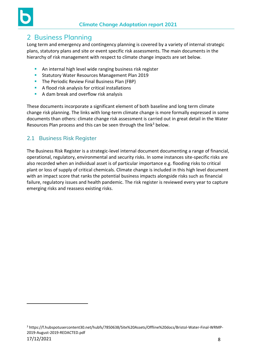

# <span id="page-7-0"></span>2 Business Planning

Long term and emergency and contingency planning is covered by a variety of internal strategic plans, statutory plans and site or event specific risk assessments. The main documents in the hierarchy of risk management with respect to climate change impacts are set below.

- **EXECT** An internal high level wide ranging business risk register
- **E** Statutory Water Resources Management Plan 2019
- **The Periodic Review Final Business Plan (FBP)**
- A flood risk analysis for critical installations
- A dam break and overflow risk analysis

These documents incorporate a significant element of both baseline and long term climate change risk planning. The links with long-term climate change is more formally expressed in some documents than others: climate change risk assessment is carried out in great detail in the Water Resources Plan process and this can be seen through the link<sup>3</sup> below.

## <span id="page-7-1"></span>2.1 Business Risk Register

The Business Risk Register is a strategic-level internal document documenting a range of financial, operational, regulatory, environmental and security risks. In some instances site-specific risks are also recorded when an individual asset is of particular importance e.g. flooding risks to critical plant or loss of supply of critical chemicals. Climate change is included in this high level document with an impact score that ranks the potential business impacts alongside risks such as financial failure, regulatory issues and health pandemic. The risk register is reviewed every year to capture emerging risks and reassess existing risks.

<sup>17/12/2021</sup> 8 <sup>3</sup> https://f.hubspotusercontent30.net/hubfs/7850638/Site%20Assets/Offline%20docs/Bristol-Water-Final-WRMP-2019-August-2019-REDACTED.pdf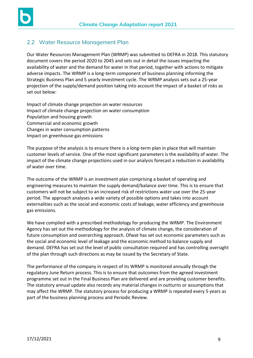

## <span id="page-8-0"></span>2.2 Water Resource Management Plan

Our Water Resources Management Plan (WRMP) was submitted to DEFRA in 2018. This statutory document covers the period 2020 to 2045 and sets out in detail the issues impacting the availability of water and the demand for water in that period, together with actions to mitigate adverse impacts. The WRMP is a long-term component of business planning informing the Strategic Business Plan and 5 yearly investment cycle. The WRMP analysis sets out a 25-year projection of the supply/demand position taking into account the impact of a basket of risks as set out below:

Impact of climate change projection on water resources Impact of climate change projection on water consumption Population and housing growth Commercial and economic growth Changes in water consumption patterns Impact on greenhouse gas emissions

The purpose of the analysis is to ensure there is a long-term plan in place that will maintain customer levels of service. One of the most significant parameters is the availability of water. The impact of the climate change projections used in our analysis forecast a reduction in availability of water over time.

The outcome of the WRMP is an investment plan comprising a basket of operating and engineering measures to maintain the supply demand/balance over time. This is to ensure that customers will not be subject to an increased risk of restrictions water use over the 25-year period. The approach analyses a wide variety of possible options and takes into account externalities such as the social and economic costs of leakage, water efficiency and greenhouse gas emissions.

We have complied with a prescribed methodology for producing the WRMP. The Environment Agency has set out the methodology for the analysis of climate change, the consideration of future consumption and overarching approach. Ofwat has set out economic parameters such as the social and economic level of leakage and the economic method to balance supply and demand. DEFRA has set out the level of public consultation required and has controlling oversight of the plan through such directions as may be issued by the Secretary of State.

The performance of the company in respect of its WRMP is monitored annually through the regulatory June Return process. This is to ensure that outcomes from the agreed investment programme set out in the Final Business Plan are delivered and are providing customer benefits. The statutory annual update also records any material changes in outturns or assumptions that may affect the WRMP. The statutory process for producing a WRMP is repeated every 5 years as part of the business planning process and Periodic Review.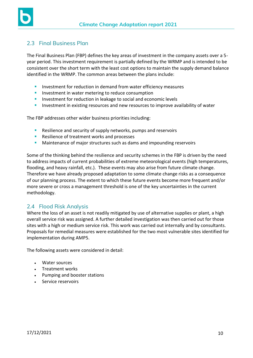

#### <span id="page-9-0"></span>2.3 Final Business Plan

The Final Business Plan (FBP) defines the key areas of investment in the company assets over a 5 year period. This investment requirement is partially defined by the WRMP and is intended to be consistent over the short term with the least cost options to maintain the supply demand balance identified in the WRMP. The common areas between the plans include:

- **E** Investment for reduction in demand from water efficiency measures
- **E** Investment in water metering to reduce consumption
- **EXECTE:** Investment for reduction in leakage to social and economic levels
- **EXTERGHTM** Investment in existing resources and new resources to improve availability of water

The FBP addresses other wider business priorities including:

- Resilience and security of supply networks, pumps and reservoirs
- Resilience of treatment works and processes
- **■** Maintenance of major structures such as dams and impounding reservoirs

Some of the thinking behind the resilience and security schemes in the FBP is driven by the need to address impacts of current probabilities of extreme meteorological events (high temperatures, flooding, and heavy rainfall, etc.). These events may also arise from future climate change. Therefore we have already proposed adaptation to some climate change risks as a consequence of our planning process. The extent to which these future events become more frequent and/or more severe or cross a management threshold is one of the key uncertainties in the current methodology.

## <span id="page-9-1"></span>2.4 Flood Risk Analysis

Where the loss of an asset is not readily mitigated by use of alternative supplies or plant, a high overall service risk was assigned. A further detailed investigation was then carried out for those sites with a high or medium service risk. This work was carried out internally and by consultants. Proposals for remedial measures were established for the two most vulnerable sites identified for implementation during AMP5.

The following assets were considered in detail:

- Water sources
- Treatment works
- Pumping and booster stations
- Service reservoirs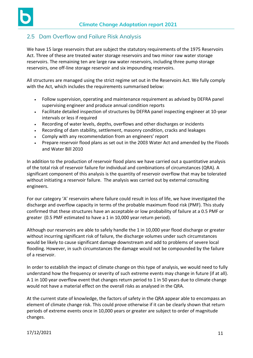

# <span id="page-10-0"></span>2.5 Dam Overflow and Failure Risk Analysis

We have 15 large reservoirs that are subject the statutory requirements of the 1975 Reservoirs Act. Three of these are treated water storage reservoirs and two minor raw water storage reservoirs. The remaining ten are large raw water reservoirs, including three pump storage reservoirs, one off-line storage reservoir and six impounding reservoirs.

All structures are managed using the strict regime set out in the Reservoirs Act. We fully comply with the Act, which includes the requirements summarised below:

- Follow supervision, operating and maintenance requirement as advised by DEFRA panel supervising engineer and produce annual condition reports
- Facilitate detailed inspection of structures by DEFRA panel inspecting engineer at 10-year intervals or less if required
- Recording of water levels, depths, overflows and other discharges or incidents
- Recording of dam stability, settlement, masonry condition, cracks and leakages
- Comply with any recommendation from an engineers' report
- Prepare reservoir flood plans as set out in the 2003 Water Act and amended by the Floods and Water Bill 2010

In addition to the production of reservoir flood plans we have carried out a quantitative analysis of the total risk of reservoir failure for individual and combinations of circumstances (QRA). A significant component of this analysis is the quantity of reservoir overflow that may be tolerated without initiating a reservoir failure. The analysis was carried out by external consulting engineers.

For our category 'A' reservoirs where failure could result in loss of life, we have investigated the discharge and overflow capacity in terms of the probable maximum flood risk (PMF). This study confirmed that these structures have an acceptable or low probability of failure at a 0.5 PMF or greater (0.5 PMF estimated to have a 1 in 10,000 year return period).

Although our reservoirs are able to safely handle the 1 in 10,000 year flood discharge or greater without incurring significant risk of failure, the discharge volumes under such circumstances would be likely to cause significant damage downstream and add to problems of severe local flooding. However, in such circumstances the damage would not be compounded by the failure of a reservoir.

In order to establish the impact of climate change on this type of analysis, we would need to fully understand how the frequency or severity of such extreme events may change in future (if at all). A 1 in 100 year overflow event that changes return period to 1 in 50 years due to climate change would not have a material effect on the overall risks as analysed in the QRA.

At the current state of knowledge, the factors of safety in the QRA appear able to encompass an element of climate change risk. This could prove otherwise if it can be clearly shown that return periods of extreme events once in 10,000 years or greater are subject to order of magnitude changes.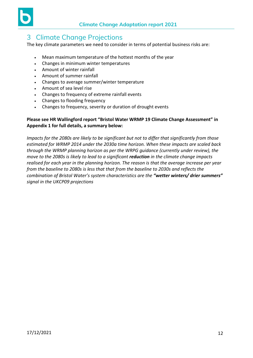

# <span id="page-11-0"></span>3 Climate Change Projections

The key climate parameters we need to consider in terms of potential business risks are:

- Mean maximum temperature of the hottest months of the year
- Changes in minimum winter temperatures
- Amount of winter rainfall
- Amount of summer rainfall
- Changes to average summer/winter temperature
- Amount of sea level rise
- Changes to frequency of extreme rainfall events
- Changes to flooding frequency
- Changes to frequency, severity or duration of drought events

#### **Please see HR Wallingford report "Bristol Water WRMP 19 Climate Change Assessment" in Appendix 1 for full details, a summary below:**

*Impacts for the 2080s are likely to be significant but not to differ that significantly from those estimated for WRMP 2014 under the 2030a time horizon. When these impacts are scaled back through the WRMP planning horizon as per the WRPG guidance (currently under review), the move to the 2080s is likely to lead to a significant reduction in the climate change impacts realised for each year in the planning horizon. The reason is that the average increase per year from the baseline to 2080s is less that that from the baseline to 2030s and reflects the combination of Bristol Water's system characteristics are the "wetter winters/ drier summers" signal in the UKCP09 projections*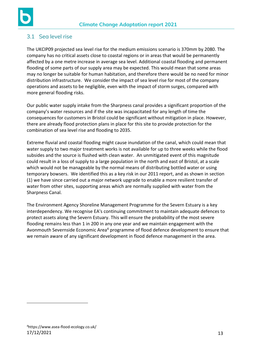

# <span id="page-12-0"></span>3.1 Sea level rise

The UKCIP09 projected sea level rise for the medium emissions scenario is 370mm by 2080. The company has no critical assets close to coastal regions or in areas that would be permanently affected by a one metre increase in average sea level. Additional coastal flooding and permanent flooding of some parts of our supply area may be expected. This would mean that some areas may no longer be suitable for human habitation, and therefore there would be no need for minor distribution infrastructure. We consider the impact of sea level rise for most of the company operations and assets to be negligible, even with the impact of storm surges, compared with more general flooding risks.

Our public water supply intake from the Sharpness canal provides a significant proportion of the company's water resources and if the site was incapacitated for any length of time the consequences for customers in Bristol could be significant without mitigation in place. However, there are already flood protection plans in place for this site to provide protection for the combination of sea level rise and flooding to 2035.

Extreme fluvial and coastal flooding might cause inundation of the canal, which could mean that water supply to two major treatment works is not available for up to three weeks while the flood subsides and the source is flushed with clean water. An unmitigated event of this magnitude could result in a loss of supply to a large population in the north and east of Bristol, at a scale which would not be manageable by the normal means of distributing bottled water or using temporary bowsers. We identified this as a key risk in our 2011 report, and as shown in section (1) we have since carried out a major network upgrade to enable a more resilient transfer of water from other sites, supporting areas which are normally supplied with water from the Sharpness Canal.

The Environment Agency Shoreline Management Programme for the Severn Estuary is a key interdependency. We recognise EA's continuing commitment to maintain adequate defences to protect assets along the Severn Estuary. This will ensure the probability of the most severe flooding remains less than 1 in 200 in any one year and we maintain engagement with the Avonmouth Severnside Economic Area<sup>4</sup> programme of flood defence development to ensure that we remain aware of any significant development in flood defence management in the area.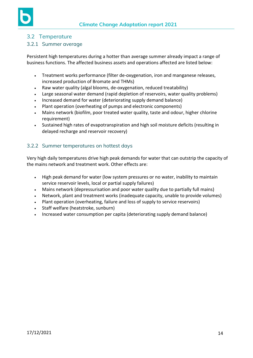

#### <span id="page-13-0"></span>3.2 Temperature

#### <span id="page-13-1"></span>3.2.1 Summer average

Persistent high temperatures during a hotter than average summer already impact a range of business functions. The affected business assets and operations affected are listed below:

- Treatment works performance (filter de-oxygenation, iron and manganese releases, increased production of Bromate and THMs)
- Raw water quality (algal blooms, de-oxygenation, reduced treatability)
- Large seasonal water demand (rapid depletion of reservoirs, water quality problems)
- Increased demand for water (deteriorating supply demand balance)
- Plant operation (overheating of pumps and electronic components)
- Mains network (biofilm, poor treated water quality, taste and odour, higher chlorine requirement)
- Sustained high rates of evapotranspiration and high soil moisture deficits (resulting in delayed recharge and reservoir recovery)

#### <span id="page-13-2"></span>3.2.2 Summer temperatures on hottest days

Very high daily temperatures drive high peak demands for water that can outstrip the capacity of the mains network and treatment work. Other effects are:

- High peak demand for water (low system pressures or no water, inability to maintain service reservoir levels, local or partial supply failures)
- Mains network (depressurisation and poor water quality due to partially full mains)
- Network, plant and treatment works (inadequate capacity, unable to provide volumes)
- Plant operation (overheating, failure and loss of supply to service reservoirs)
- Staff welfare (heatstroke, sunburn)
- Increased water consumption per capita (deteriorating supply demand balance)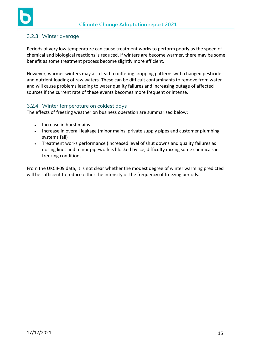

#### <span id="page-14-0"></span>3.2.3 Winter average

Periods of very low temperature can cause treatment works to perform poorly as the speed of chemical and biological reactions is reduced. If winters are become warmer, there may be some benefit as some treatment process become slightly more efficient.

However, warmer winters may also lead to differing cropping patterns with changed pesticide and nutrient loading of raw waters. These can be difficult contaminants to remove from water and will cause problems leading to water quality failures and increasing outage of affected sources if the current rate of these events becomes more frequent or intense.

#### <span id="page-14-1"></span>3.2.4 Winter temperature on coldest days

The effects of freezing weather on business operation are summarised below:

- Increase in burst mains
- Increase in overall leakage (minor mains, private supply pipes and customer plumbing systems fail)
- Treatment works performance (increased level of shut downs and quality failures as dosing lines and minor pipework is blocked by ice, difficulty mixing some chemicals in freezing conditions.

From the UKCIP09 data, it is not clear whether the modest degree of winter warming predicted will be sufficient to reduce either the intensity or the frequency of freezing periods.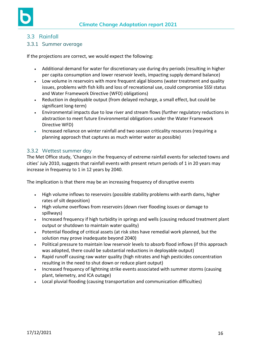

## <span id="page-15-0"></span>3.3 Rainfall

#### <span id="page-15-1"></span>3.3.1 Summer average

If the projections are correct, we would expect the following:

- Additional demand for water for discretionary use during dry periods (resulting in higher per capita consumption and lower reservoir levels, impacting supply demand balance)
- Low volume in reservoirs with more frequent algal blooms (water treatment and quality issues, problems with fish kills and loss of recreational use, could compromise SSSI status and Water Framework Directive (WFD) obligations)
- Reduction in deployable output (from delayed recharge, a small effect, but could be significant long-term)
- Environmental impacts due to low river and stream flows (further regulatory reductions in abstraction to meet future Environmental obligations under the Water Framework Directive WFD)
- Increased reliance on winter rainfall and two season criticality resources (requiring a planning approach that captures as much winter water as possible)

## <span id="page-15-2"></span>3.3.2 Wettest summer day

The Met Office study, 'Changes in the frequency of extreme rainfall events for selected towns and cities' July 2010, suggests that rainfall events with present return periods of 1 in 20 years may increase in frequency to 1 in 12 years by 2040.

The implication is that there may be an increasing frequency of disruptive events

- High volume inflows to reservoirs (possible stability problems with earth dams, higher rates of silt deposition)
- High volume overflows from reservoirs (down river flooding issues or damage to spillways)
- Increased frequency if high turbidity in springs and wells (causing reduced treatment plant output or shutdown to maintain water quality)
- Potential flooding of critical assets (at risk sites have remedial work planned, but the solution may prove inadequate beyond 2040)
- Political pressure to maintain low reservoir levels to absorb flood inflows (if this approach was adopted, there could be substantial reductions in deployable output)
- Rapid runoff causing raw water quality (high nitrates and high pesticides concentration resulting in the need to shut down or reduce plant output)
- Increased frequency of lightning strike events associated with summer storms (causing plant, telemetry, and ICA outage)
- Local pluvial flooding (causing transportation and communication difficulties)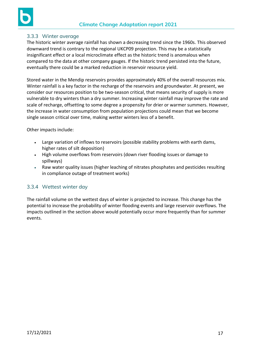

#### <span id="page-16-0"></span>3.3.3 Winter average

The historic winter average rainfall has shown a decreasing trend since the 1960s. This observed downward trend is contrary to the regional UKCP09 projection. This may be a statistically insignificant effect or a local microclimate effect as the historic trend is anomalous when compared to the data at other company gauges. If the historic trend persisted into the future, eventually there could be a marked reduction in reservoir resource yield.

Stored water in the Mendip reservoirs provides approximately 40% of the overall resources mix. Winter rainfall is a key factor in the recharge of the reservoirs and groundwater. At present, we consider our resources position to be two-season critical, that means security of supply is more vulnerable to dry winters than a dry summer. Increasing winter rainfall may improve the rate and scale of recharge, offsetting to some degree a propensity for drier or warmer summers. However, the increase in water consumption from population projections could mean that we become single season critical over time, making wetter winters less of a benefit.

Other impacts include:

- Large variation of inflows to reservoirs (possible stability problems with earth dams, higher rates of silt deposition)
- High volume overflows from reservoirs (down river flooding issues or damage to spillways)
- Raw water quality issues (higher leaching of nitrates phosphates and pesticides resulting in compliance outage of treatment works)

#### <span id="page-16-1"></span>3.3.4 Wettest winter day

The rainfall volume on the wettest days of winter is projected to increase. This change has the potential to increase the probability of winter flooding events and large reservoir overflows. The impacts outlined in the section above would potentially occur more frequently than for summer events.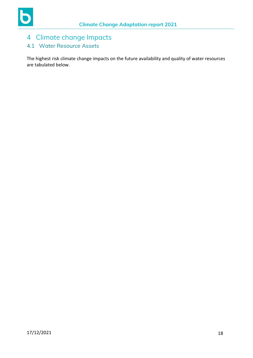# <span id="page-17-0"></span>4 Climate change Impacts

# <span id="page-17-1"></span>4.1 Water Resource Assets

The highest risk climate change impacts on the future availability and quality of water resources are tabulated below.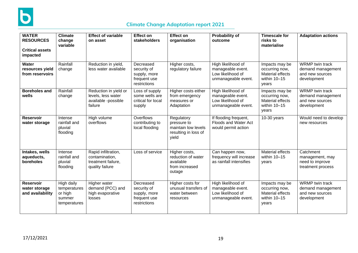

# **Climate Change Adaptation report 2021**

| <b>WATER</b><br><b>RESOURCES</b><br><b>Critical assets</b><br>impacted | <b>Climate</b><br>change<br>variable                            | <b>Effect of variable</b><br>on asset                                          | <b>Effect on</b><br><b>stakeholders</b>                                  | <b>Effect on</b><br>organisation                                                  | <b>Probability of</b><br>outcome                                                    | <b>Timescale for</b><br>risks to<br>materialise                                      | <b>Adaptation actions</b>                                                     |
|------------------------------------------------------------------------|-----------------------------------------------------------------|--------------------------------------------------------------------------------|--------------------------------------------------------------------------|-----------------------------------------------------------------------------------|-------------------------------------------------------------------------------------|--------------------------------------------------------------------------------------|-------------------------------------------------------------------------------|
| Water<br>resources yield<br>from reservoirs                            | Rainfall<br>change                                              | Reduction in yield,<br>less water available                                    | Decreased<br>security of<br>supply, more<br>frequent use<br>restrictions | Higher costs,<br>regulatory failure                                               | High likelihood of<br>manageable event.<br>Low likelihood of<br>unmanageable event. | Impacts may be<br>occurring now,<br><b>Material effects</b><br>within 10-15<br>years | <b>WRMP</b> twin track<br>demand management<br>and new sources<br>development |
| <b>Boreholes and</b><br>wells                                          | Rainfall<br>change                                              | Reduction in yield or<br>levels, less water<br>available -possible<br>failure  | Loss of supply<br>some wells are<br>critical for local<br>supply         | Higher costs either<br>from emergency<br>measures or<br>Adaptation                | High likelihood of<br>manageable event.<br>Low likelihood of<br>unmanageable event. | Impacts may be<br>occurring now,<br><b>Material effects</b><br>within 10-15<br>years | <b>WRMP</b> twin track<br>demand management<br>and new sources<br>development |
| <b>Reservoir</b><br>water storage                                      | Intense<br>rainfall and<br>pluvial<br>flooding                  | High volume<br>overflows                                                       | Overflows<br>contributing to<br>local flooding                           | Regulatory<br>pressure to<br>maintain low levels<br>resulting in loss of<br>yield | If flooding frequent,<br>Floods and Water Act<br>would permit action                | $10-30$ years                                                                        | Would need to develop<br>new resources                                        |
| Intakes, wells<br>aqueducts,<br>boreholes                              | Intense<br>rainfall and<br>pluvial<br>flooding                  | Rapid infiltration,<br>contamination,<br>treatment failure,<br>quality failure | Loss of service                                                          | Higher costs,<br>reduction of water<br>available<br>from increased<br>outage      | Can happen now,<br>frequency will increase<br>as rainfall intensifies               | Material effects<br>within 10-15<br>years                                            | Catchment<br>management, may<br>need to improve<br>treatment process          |
| <b>Reservoir</b><br>water storage<br>and availability                  | High daily<br>temperatures<br>or high<br>summer<br>temperatures | Higher water<br>demand (PCC) and<br>high evaporative<br><b>losses</b>          | Decreased<br>security of<br>supply, more<br>frequent use<br>restrictions | Higher costs for<br>unusual transfers of<br>water between<br>resources            | High likelihood of<br>manageable event.<br>Low likelihood of<br>unmanageable event. | Impacts may be<br>occurring now,<br><b>Material effects</b><br>within 10-15<br>years | <b>WRMP</b> twin track<br>demand management<br>and new sources<br>development |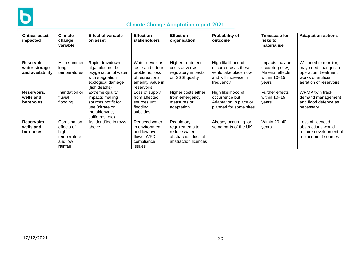

# **Climate Change Adaptation report 2021**

| <b>Critical asset</b><br>impacted                     | <b>Climate</b><br>change<br>variable                                    | <b>Effect of variable</b><br>on asset                                                                                | Effect on<br>stakeholders                                                                                | Effect on<br>organisation                                                                     | <b>Probability of</b><br>outcome                                                                       | Timescale for<br>risks to<br>materialise                                        | <b>Adaptation actions</b>                                                                                             |
|-------------------------------------------------------|-------------------------------------------------------------------------|----------------------------------------------------------------------------------------------------------------------|----------------------------------------------------------------------------------------------------------|-----------------------------------------------------------------------------------------------|--------------------------------------------------------------------------------------------------------|---------------------------------------------------------------------------------|-----------------------------------------------------------------------------------------------------------------------|
| <b>Reservoir</b><br>water storage<br>and availability | High summer<br>long<br>temperatures                                     | Rapid drawdown,<br>algal blooms de-<br>oxygenation of water<br>with stagnation<br>ecological damage<br>(fish deaths) | Water develops<br>taste and odour<br>problems, loss<br>of recreational<br>amenity value in<br>reservoirs | Higher treatment<br>costs adverse<br>regulatory impacts<br>on SSSI quality                    | High likelihood of<br>occurrence as these<br>vents take place now<br>and will increase in<br>frequency | Impacts may be<br>occurring now,<br>Material effects<br>within $10-15$<br>years | Will need to monitor,<br>may need changes in<br>operation, treatment<br>works or artificial<br>aeration of reservoirs |
| Reservoirs,<br>wells and<br>boreholes                 | Inundation or<br>fluvial<br>flooding                                    | Extreme quality<br>impacts making<br>sources not fit for<br>use (nitrate or<br>metaldehyde,<br>coliforms, etc)       | Loss of supply<br>from affected<br>sources until<br>flooding<br>subsides                                 | Higher costs either<br>from emergency<br>measures or<br>adaptation                            | High likelihood of<br>occurrence but<br>Adaptation in place or<br>planned for some sites               | Further effects<br>within $10-15$<br>years                                      | <b>WRMP</b> twin track<br>demand management<br>and flood defence as<br>necessary                                      |
| Reservoirs,<br>wells and<br>boreholes                 | Combination<br>effects of<br>high<br>temperature<br>and low<br>rainfall | As identified in rows<br>above                                                                                       | Reduced water<br>in environment<br>and low river<br>flows, WFD<br>compliance<br><i>issues</i>            | Regulatory<br>requirements to<br>reduce water<br>abstraction, loss of<br>abstraction licences | Already occurring for<br>some parts of the UK                                                          | Within 20-40<br>years                                                           | Loss of licenced<br>abstractions would<br>require development of<br>replacement sources                               |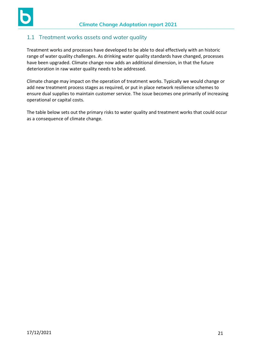

## <span id="page-20-0"></span>1.1 Treatment works assets and water quality

Treatment works and processes have developed to be able to deal effectively with an historic range of water quality challenges. As drinking water quality standards have changed, processes have been upgraded. Climate change now adds an additional dimension, in that the future deterioration in raw water quality needs to be addressed.

Climate change may impact on the operation of treatment works. Typically we would change or add new treatment process stages as required, or put in place network resilience schemes to ensure dual supplies to maintain customer service. The issue becomes one primarily of increasing operational or capital costs.

The table below sets out the primary risks to water quality and treatment works that could occur as a consequence of climate change.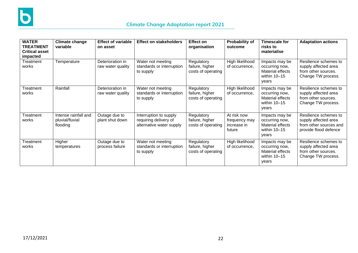

| <b>WATER</b><br><b>TREATMENT</b><br><b>Critical asset</b><br>impacted | Climate change<br>variable                          | <b>Effect of variable</b><br>on asset | <b>Effect on stakeholders</b>                                               | <b>Effect on</b><br>organisation                    | Probability of<br>outcome                             | <b>Timescale for</b><br>risks to<br>materialise                                 | <b>Adaptation actions</b>                                                                        |
|-----------------------------------------------------------------------|-----------------------------------------------------|---------------------------------------|-----------------------------------------------------------------------------|-----------------------------------------------------|-------------------------------------------------------|---------------------------------------------------------------------------------|--------------------------------------------------------------------------------------------------|
| Treatment<br>works                                                    | Temperature                                         | Deterioration in<br>raw water quality | Water not meeting<br>standards or interruption<br>to supply                 | Regulatory<br>failure, higher<br>costs of operating | High likelihood<br>of occurrence,                     | Impacts may be<br>occurring now,<br>Material effects<br>within $10-15$<br>years | Resilience schemes to<br>supply affected area<br>from other sources.<br>Change TW process.       |
| Treatment<br>works                                                    | Rainfall                                            | Deterioration in<br>raw water quality | Water not meeting<br>standards or interruption<br>to supply                 | Regulatory<br>failure, higher<br>costs of operating | High likelihood<br>of occurrence,                     | Impacts may be<br>occurring now,<br>Material effects<br>within $10-15$<br>years | Resilience schemes to<br>supply affected area<br>from other sources.<br>Change TW process.       |
| Treatment<br>works                                                    | Intense rainfall and<br>pluvial/fluvial<br>flooding | Outage due to<br>plant shut down      | Interruption to supply<br>requiring delivery of<br>alternative water supply | Regulatory<br>failure, higher<br>costs of operating | At risk now<br>frequency may<br>increase in<br>future | Impacts may be<br>occurring now,<br>Material effects<br>within $10-15$<br>years | Resilience schemes to<br>supply affected area<br>from other sources and<br>provide flood defence |
| Treatment<br>works                                                    | Higher<br>temperatures                              | Outage due to<br>process failure      | Water not meeting<br>standards or interruption<br>to supply                 | Regulatory<br>failure, higher<br>costs of operating | High likelihood<br>of occurrence,                     | Impacts may be<br>occurring now,<br>Material effects<br>within $10-15$<br>years | Resilience schemes to<br>supply affected area<br>from other sources.<br>Change TW process.       |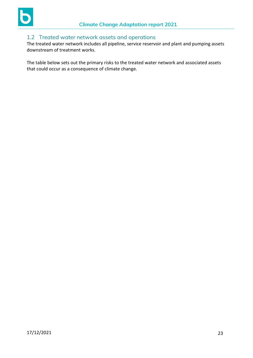

## <span id="page-22-0"></span>1.2 Treated water network assets and operations

The treated water network includes all pipeline, service reservoir and plant and pumping assets downstream of treatment works.

The table below sets out the primary risks to the treated water network and associated assets that could occur as a consequence of climate change.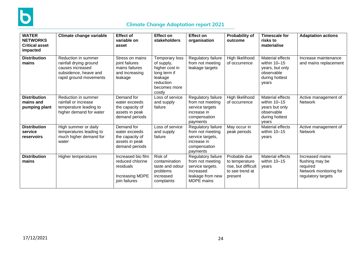

# **Climate Change Adaptation report 2021**

| <b>WATER</b><br><b>NETWORKS</b><br><b>Critical asset</b><br>impacted | Climate change variable                                                                                              | <b>Effect of</b><br>variable on<br>asset                                                | <b>Effect on</b><br>stakeholders                                                                                 | <b>Effect on</b><br>organisation                                                                                 | Probability of<br>outcome                                                           | <b>Timescale for</b><br>risks to<br>materialise                                                    | <b>Adaptation actions</b>                                                                      |
|----------------------------------------------------------------------|----------------------------------------------------------------------------------------------------------------------|-----------------------------------------------------------------------------------------|------------------------------------------------------------------------------------------------------------------|------------------------------------------------------------------------------------------------------------------|-------------------------------------------------------------------------------------|----------------------------------------------------------------------------------------------------|------------------------------------------------------------------------------------------------|
| <b>Distribution</b><br>mains                                         | Reduction in summer<br>rainfall drying ground<br>causes increased<br>subsidence, heave and<br>rapid ground movements | Stress on mains<br>joint failures<br>mains failures<br>and increasing<br>leakage        | Temporary loss<br>of supply,<br>higher cost in<br>long term if<br>leakage<br>reduction<br>becomes more<br>costly | Regulatory failure<br>from not meeting<br>leakage targets                                                        | High likelihood<br>of occurrence                                                    | Material effects<br>within 10-15<br>years, but only<br>observable<br>during hottest<br>years       | Increase maintenance<br>and mains replacement                                                  |
| <b>Distribution</b><br>mains and<br>pumping plant                    | Reduction in summer<br>rainfall or increase<br>temperature leading to<br>higher demand for water                     | Demand for<br>water exceeds<br>the capacity of<br>assets in peak<br>demand periods      | Loss of service<br>and supply<br>failure                                                                         | Regulatory failure<br>from not meeting<br>service targets<br>increase in<br>compensation<br>payments             | High likelihood<br>of occurrence                                                    | <b>Material effects</b><br>within 10-15<br>years but only<br>observable<br>during hottest<br>vears | Active management of<br><b>Network</b>                                                         |
| <b>Distribution</b><br>service<br>reservoirs                         | High summer or daily<br>temperatures leading to<br>much higher demand for<br>water                                   | Demand for<br>water exceeds<br>the capacity of<br>assets in peak<br>demand periods      | Loss of service<br>and supply<br>failure                                                                         | Regulatory failure<br>from not meeting<br>service targets,<br>increase in<br>compensation<br>payments            | May occur in<br>peak periods                                                        | <b>Material effects</b><br>within 10-15<br>years                                                   | Active management of<br><b>Network</b>                                                         |
| <b>Distribution</b><br>mains                                         | <b>Higher temperatures</b>                                                                                           | Increased bio film<br>reduced chlorine<br>residuals<br>Increasing MDPE<br>join failures | Risk of<br>contamination<br>taste and odour<br>problems<br>increased<br>complaints                               | Regulatory failure<br>from not meeting<br>service targets.<br>Increased<br>leakage from new<br><b>MDPE</b> mains | Probable due<br>to temperature<br>rise, but difficult<br>to see trend at<br>present | <b>Material effects</b><br>within 10-15<br>years                                                   | Increased mains<br>flushing may be<br>required<br>Network monitoring for<br>regulatory targets |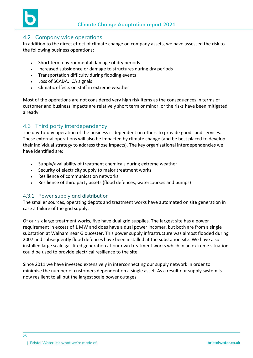

#### <span id="page-24-0"></span>4.2 Company wide operations

In addition to the direct effect of climate change on company assets, we have assessed the risk to the following business operations:

- Short term environmental damage of dry periods
- Increased subsidence or damage to structures during dry periods
- Transportation difficulty during flooding events
- Loss of SCADA, ICA signals
- Climatic effects on staff in extreme weather

Most of the operations are not considered very high risk items as the consequences in terms of customer and business impacts are relatively short term or minor, or the risks have been mitigated already.

## <span id="page-24-1"></span>4.3 Third party interdependency

The day-to-day operation of the business is dependent on others to provide goods and services. These external operations will also be impacted by climate change (and be best placed to develop their individual strategy to address those impacts). The key organisational interdependencies we have identified are:

- Supply/availability of treatment chemicals during extreme weather
- Security of electricity supply to major treatment works
- Resilience of communication networks
- Resilience of third party assets (flood defences, watercourses and pumps)

#### <span id="page-24-2"></span>4.3.1 Power supply and distribution

The smaller sources, operating depots and treatment works have automated on site generation in case a failure of the grid supply.

Of our six large treatment works, five have dual grid supplies. The largest site has a power requirement in excess of 1 MW and does have a dual power incomer, but both are from a single substation at Walham near Gloucester. This power supply infrastructure was almost flooded during 2007 and subsequently flood defences have been installed at the substation site. We have also installed large scale gas fired generation at our own treatment works which in an extreme situation could be used to provide electrical resilience to the site.

Since 2011 we have invested extensively in interconnecting our supply network in order to minimise the number of customers dependent on a single asset. As a result our supply system is now resilient to all but the largest scale power outages.

25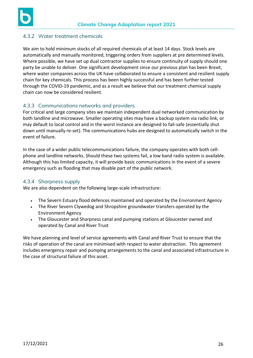

#### <span id="page-25-0"></span>4.3.2 Water treatment chemicals

We aim to hold minimum stocks of all required chemicals of at least 14 days. Stock levels are automatically and manually monitored, triggering orders from suppliers at pre determined levels. Where possible, we have set up dual contractor supplies to ensure continuity of supply should one party be unable to deliver. One significant development since our previous plan has been Brexit, where water companies across the UK have collaborated to ensure a consistent and resilient supply chain for key chemicals. This process has been highly successful and has been further tested through the COVID-19 pandemic, and as a result we believe that our treatment chemical supply chain can now be considered resilient.

#### <span id="page-25-1"></span>4.3.3 Communications networks and providers

For critical and large company sites we maintain independent dual networked communication by both landline and microwave. Smaller operating sites may have a backup system via radio link, or may default to local control and in the worst instance are designed to fail-safe (essentially shut down until manually re-set). The communications hubs are designed to automatically switch in the event of failure.

In the case of a wider public telecommunications failure, the company operates with both cellphone and landline networks. Should these two systems fail, a low band radio system is available. Although this has limited capacity, it will provide basic communications in the event of a severe emergency such as flooding that may disable part of the public network.

#### <span id="page-25-2"></span>4.3.4 Sharpness supply

We are also dependent on the following large-scale infrastructure:

- The Severn Estuary flood defences maintained and operated by the Environment Agency
- The River Severn Clywedog and Shropshire groundwater transfers operated by the Environment Agency
- The Gloucester and Sharpness canal and pumping stations at Gloucester owned and operated by Canal and River Trust

We have planning and level of service agreements with Canal and River Trust to ensure that the risks of operation of the canal are minimised with respect to water abstraction. This agreement includes emergency repair and pumping arrangements to the canal and associated infrastructure in the case of structural failure of this asset.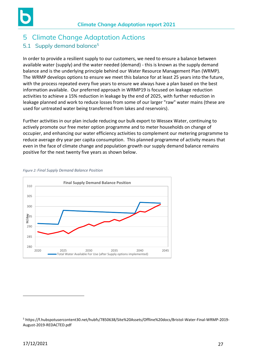# <span id="page-26-1"></span><span id="page-26-0"></span>5 Climate Change Adaptation Actions 5.1 Supply demand balance<sup>5</sup>

In order to provide a resilient supply to our customers, we need to ensure a balance between available water (supply) and the water needed (demand) - this is known as the supply demand balance and is the underlying principle behind our Water Resource Management Plan (WRMP). The WRMP develops options to ensure we meet this balance for at least 25 years into the future, with the process repeated every five years to ensure we always have a plan based on the best information available. Our preferred approach in WRMP19 is focused on leakage reduction activities to achieve a 15% reduction in leakage by the end of 2025, with further reduction in leakage planned and work to reduce losses from some of our larger "raw" water mains (these are used for untreated water being transferred from lakes and reservoirs).

Further activities in our plan include reducing our bulk export to Wessex Water, continuing to actively promote our free meter option programme and to meter households on change of occupier, and enhancing our water efficiency activities to complement our metering programme to reduce average dry year per capita consumption. This planned programme of activity means that even in the face of climate change and population growth our supply demand balance remains positive for the next twenty five years as shown below.



*Figure 2: Final Supply Demand Balance Position*

<sup>5</sup> https://f.hubspotusercontent30.net/hubfs/7850638/Site%20Assets/Offline%20docs/Bristol-Water-Final-WRMP-2019- August-2019-REDACTED.pdf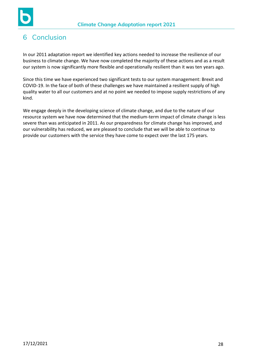

# 6 Conclusion

In our 2011 adaptation report we identified key actions needed to increase the resilience of our business to climate change. We have now completed the majority of these actions and as a result our system is now significantly more flexible and operationally resilient than it was ten years ago.

Since this time we have experienced two significant tests to our system management: Brexit and COVID-19. In the face of both of these challenges we have maintained a resilient supply of high quality water to all our customers and at no point we needed to impose supply restrictions of any kind.

We engage deeply in the developing science of climate change, and due to the nature of our resource system we have now determined that the medium-term impact of climate change is less severe than was anticipated in 2011. As our preparedness for climate change has improved, and our vulnerability has reduced, we are pleased to conclude that we will be able to continue to provide our customers with the service they have come to expect over the last 175 years.